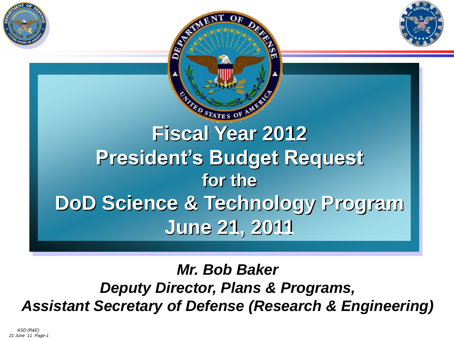



### *Mr. Bob Baker Deputy Director, Plans & Programs, Assistant Secretary of Defense (Research & Engineering)*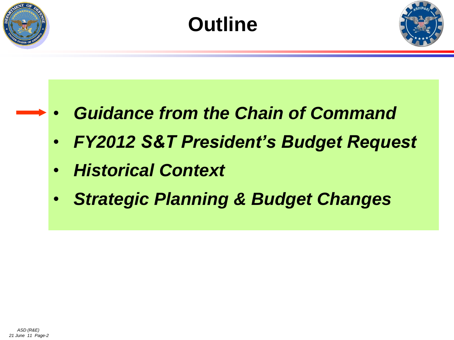





- *Guidance from the Chain of Command*
- *FY2012 S&T President's Budget Request*
- *Historical Context*
- *Strategic Planning & Budget Changes*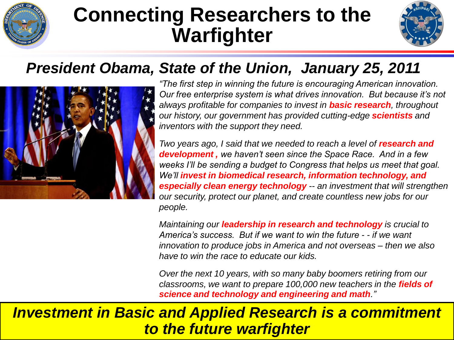

# **Connecting Researchers to the Warfighter**



### *President Obama, State of the Union, January 25, 2011*



*"The first step in winning the future is encouraging American innovation. Our free enterprise system is what drives innovation. But because it's not always profitable for companies to invest in basic research, throughout our history, our government has provided cutting-edge scientists and inventors with the support they need.*

*Two years ago, I said that we needed to reach a level of research and development , we haven't seen since the Space Race. And in a few weeks I'll be sending a budget to Congress that helps us meet that goal. We'll invest in biomedical research, information technology, and especially clean energy technology -- an investment that will strengthen our security, protect our planet, and create countless new jobs for our people.*

*Maintaining our leadership in research and technology is crucial to America's success. But if we want to win the future - - if we want innovation to produce jobs in America and not overseas – then we also have to win the race to educate our kids.*

*Over the next 10 years, with so many baby boomers retiring from our classrooms, we want to prepare 100,000 new teachers in the fields of science and technology and engineering and math."*

### *Investment in Basic and Applied Research is a commitment to the future warfighter*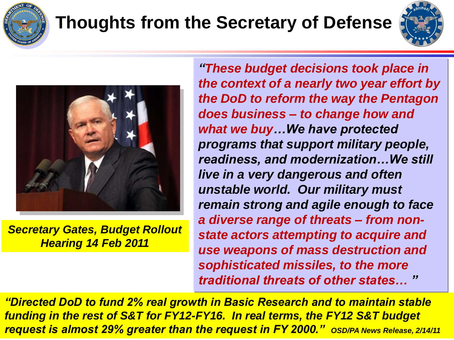

# **Thoughts from the Secretary of Defense**





*Secretary Gates, Budget Rollout Hearing 14 Feb 2011*

*"These budget decisions took place in the context of a nearly two year effort by the DoD to reform the way the Pentagon does business – to change how and what we buy…We have protected programs that support military people, readiness, and modernization…We still live in a very dangerous and often unstable world. Our military must remain strong and agile enough to face a diverse range of threats – from nonstate actors attempting to acquire and use weapons of mass destruction and sophisticated missiles, to the more traditional threats of other states… "* 

*ASD (R&E) 21 June 11 Page-4 request is almost 29% greater than the request in FY 2000." OSD/PA News Release, 2/14/11"Directed DoD to fund 2% real growth in Basic Research and to maintain stable funding in the rest of S&T for FY12-FY16. In real terms, the FY12 S&T budget*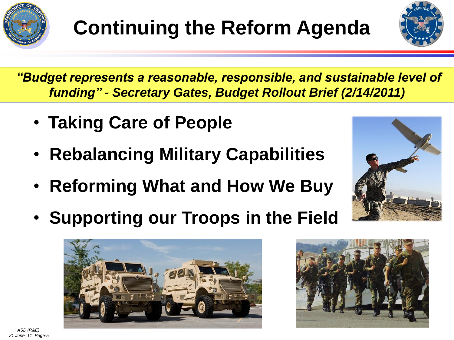



*"Budget represents a reasonable, responsible, and sustainable level of funding" - Secretary Gates, Budget Rollout Brief (2/14/2011)*

- **Taking Care of People**
- **Rebalancing Military Capabilities**
- **Reforming What and How We Buy**
- **Supporting our Troops in the Field**





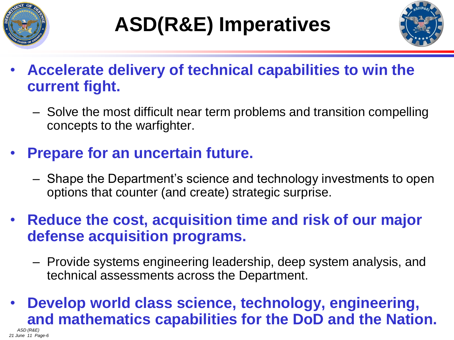



- **Accelerate delivery of technical capabilities to win the current fight.**
	- Solve the most difficult near term problems and transition compelling concepts to the warfighter.
- **Prepare for an uncertain future.**
	- Shape the Department's science and technology investments to open options that counter (and create) strategic surprise.
- **Reduce the cost, acquisition time and risk of our major defense acquisition programs.**
	- Provide systems engineering leadership, deep system analysis, and technical assessments across the Department.

### • **Develop world class science, technology, engineering, and mathematics capabilities for the DoD and the Nation.**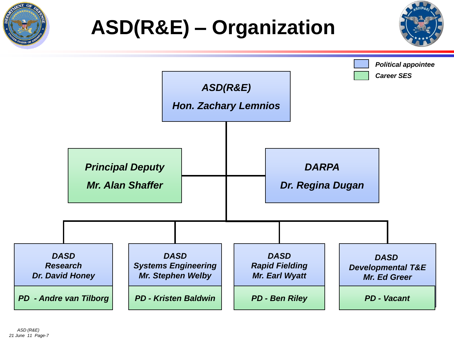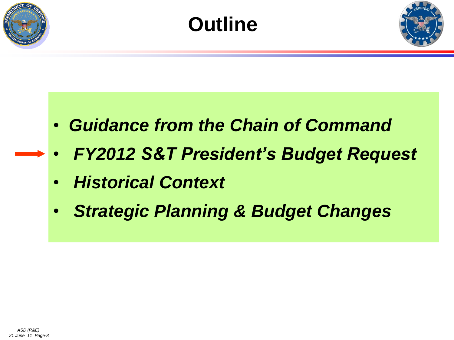





- *Guidance from the Chain of Command*
- *FY2012 S&T President's Budget Request*
- *Historical Context*
- *Strategic Planning & Budget Changes*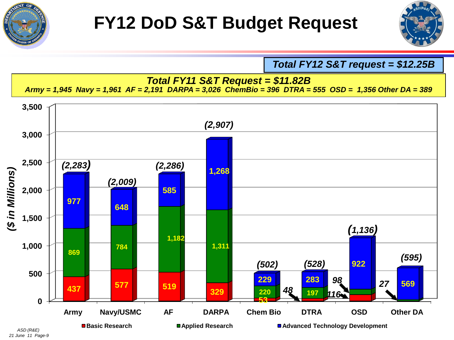



*Total FY12 S&T request = \$12.25B*

#### *Total FY11 S&T Request = \$11.82B*

*Army = 1,945 Navy = 1,961 AF = 2,191 DARPA = 3,026 ChemBio = 396 DTRA = 555 OSD = 1,356 Other DA = 389*



*21 June 11 Page-9*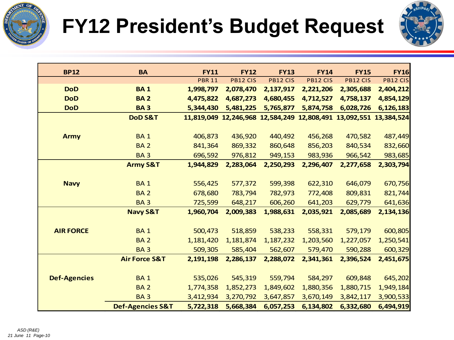

# **FY12 President's Budget Request**



| <b>BP12</b>         | <b>BA</b>                   | <b>FY11</b>           | <b>FY12</b> | <b>FY13</b> | <b>FY14</b> | <b>FY15</b> | <b>FY16</b>                      |
|---------------------|-----------------------------|-----------------------|-------------|-------------|-------------|-------------|----------------------------------|
|                     |                             | <b>PBR 11</b>         | PB12 CIS    | PB12 CIS    | PB12 CIS    | PB12 CIS    | <b>PB12 CIS</b>                  |
| <b>DoD</b>          | <b>BA1</b>                  | 1,998,797             | 2,078,470   | 2,137,917   | 2,221,206   | 2,305,688   | 2,404,212                        |
| <b>DoD</b>          | <b>BA2</b>                  | 4,475,822             | 4,687,273   | 4,680,455   | 4,712,527   | 4,758,137   | 4,854,129                        |
| <b>DoD</b>          | <b>BA3</b>                  | 5,344,430             | 5,481,225   | 5,765,877   | 5,874,758   | 6,028,726   | 6,126,183                        |
|                     | DoD S&T                     | 11,819,049 12,246,968 |             | 12,584,249  |             |             | 12,808,491 13,092,551 13,384,524 |
|                     |                             |                       |             |             |             |             |                                  |
| <b>Army</b>         | <b>BA1</b>                  | 406,873               | 436,920     | 440,492     | 456,268     | 470,582     | 487,449                          |
|                     | <b>BA2</b>                  | 841,364               | 869,332     | 860,648     | 856,203     | 840,534     | 832,660                          |
|                     | <b>BA3</b>                  | 696,592               | 976,812     | 949,153     | 983,936     | 966,542     | 983,685                          |
|                     | <b>Army S&amp;T</b>         | 1,944,829             | 2,283,064   | 2,250,293   | 2,296,407   | 2,277,658   | 2,303,794                        |
|                     |                             |                       |             |             |             |             |                                  |
| <b>Navy</b>         | <b>BA1</b>                  | 556,425               | 577,372     | 599,398     | 622,310     | 646,079     | 670,756                          |
|                     | <b>BA2</b>                  | 678,680               | 783,794     | 782,973     | 772,408     | 809,831     | 821,744                          |
|                     | <b>BA3</b>                  | 725,599               | 648,217     | 606,260     | 641,203     | 629,779     | 641,636                          |
|                     | <b>Navy S&amp;T</b>         | 1,960,704             | 2,009,383   | 1,988,631   | 2,035,921   | 2,085,689   | 2,134,136                        |
|                     |                             |                       |             |             |             |             |                                  |
| <b>AIR FORCE</b>    | <b>BA1</b>                  | 500,473               | 518,859     | 538,233     | 558,331     | 579,179     | 600,805                          |
|                     | <b>BA2</b>                  | 1,181,420             | 1,181,874   | 1,187,232   | 1,203,560   | 1,227,057   | 1,250,541                        |
|                     | <b>BA3</b>                  | 509,305               | 585,404     | 562,607     | 579,470     | 590,288     | 600,329                          |
|                     | <b>Air Force S&amp;T</b>    | 2,191,198             | 2,286,137   | 2,288,072   | 2,341,361   | 2,396,524   | 2,451,675                        |
|                     |                             |                       |             |             |             |             |                                  |
| <b>Def-Agencies</b> | <b>BA1</b>                  | 535,026               | 545,319     | 559,794     | 584,297     | 609,848     | 645,202                          |
|                     | <b>BA2</b>                  | 1,774,358             | 1,852,273   | 1,849,602   | 1,880,356   | 1,880,715   | 1,949,184                        |
|                     | <b>BA3</b>                  | 3,412,934             | 3,270,792   | 3,647,857   | 3,670,149   | 3,842,117   | 3,900,533                        |
|                     | <b>Def-Agencies S&amp;T</b> | 5,722,318             | 5,668,384   | 6,057,253   | 6,134,802   | 6,332,680   | 6,494,919                        |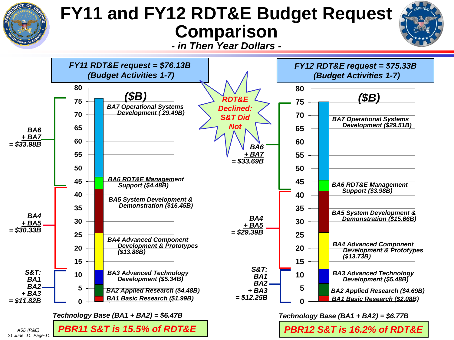

# **FY11 and FY12 RDT&E Budget Request Comparison**



*- in Then Year Dollars -*

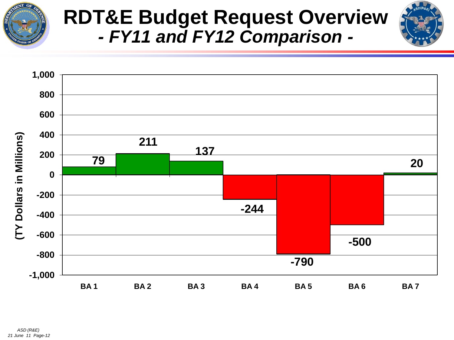

# **RDT&E Budget Request Overview**  *- FY11 and FY12 Comparison -*

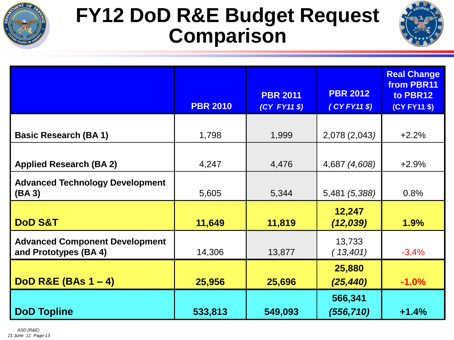

# **FY12 DoD R&E Budget Request Comparison**



|                                                               |                 | <b>PBR 2011</b> | <b>PBR 2012</b>     | <b>Real Change</b><br>from PBR11<br>to PBR12 |
|---------------------------------------------------------------|-----------------|-----------------|---------------------|----------------------------------------------|
|                                                               | <b>PBR 2010</b> | (CY FY11 \$)    | $(CYFY11 \$         | (CY FY11 \$)                                 |
|                                                               |                 |                 |                     |                                              |
| <b>Basic Research (BA1)</b>                                   | 1,798           | 1,999           | 2,078 (2,043)       | $+2.2%$                                      |
|                                                               |                 |                 |                     |                                              |
| <b>Applied Research (BA 2)</b>                                | 4,247           | 4,476           | 4,687 (4,608)       | $+2.9%$                                      |
| <b>Advanced Technology Development</b><br>(BA 3)              | 5,605           | 5,344           | 5,481 (5,388)       | 0.8%                                         |
| <b>DoD S&amp;T</b>                                            | 11,649          | 11,819          | 12,247<br>(12, 039) | 1.9%                                         |
|                                                               |                 |                 |                     |                                              |
| <b>Advanced Component Development</b><br>and Prototypes (BA4) | 14,306          | 13,877          | 13,733<br>(13,401)  | $-3.4%$                                      |
|                                                               |                 |                 | 25,880              |                                              |
| DoD R&E (BAs $1 - 4$ )                                        | 25,956          | 25,696          | (25, 440)           | $-1.0%$                                      |
|                                                               |                 |                 | 566,341             |                                              |
| <b>DoD Topline</b>                                            | 533,813         | 549,093         | (556, 710)          | $+1.4%$                                      |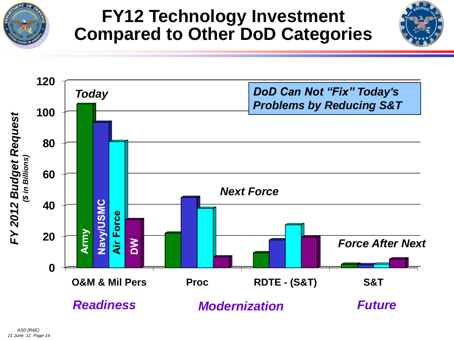

# **FY12 Technology Investment Compared to Other DoD Categories**



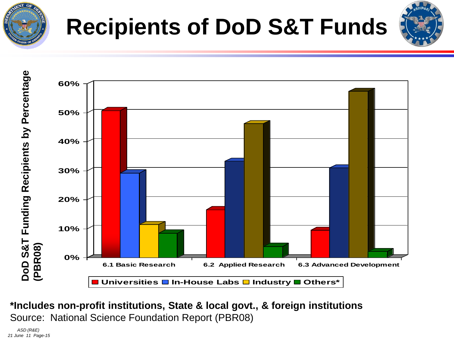



#### **\*Includes non-profit institutions, State & local govt., & foreign institutions** Source: National Science Foundation Report (PBR08)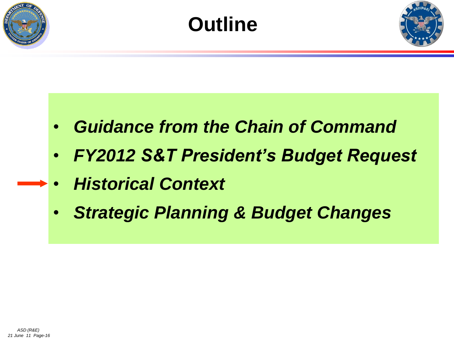





- *Guidance from the Chain of Command*
- *FY2012 S&T President's Budget Request*
- *Historical Context*
- *Strategic Planning & Budget Changes*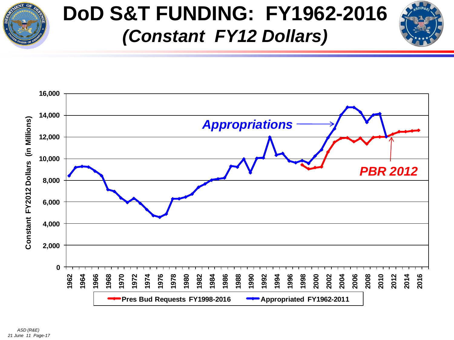

# **DoD S&T FUNDING: FY1962-2016** *(Constant FY12 Dollars)*

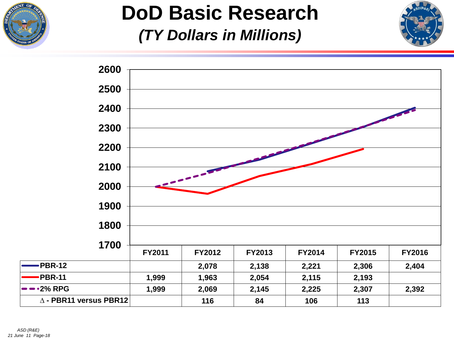

# **DoD Basic Research** *(TY Dollars in Millions)*



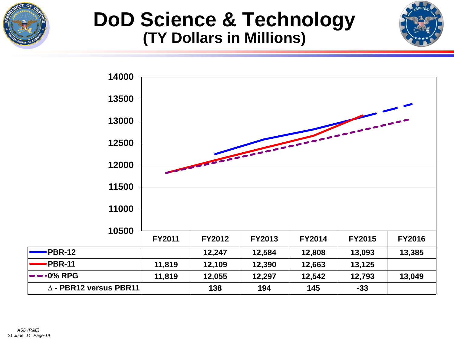

### **DoD Science & Technology (TY Dollars in Millions)**



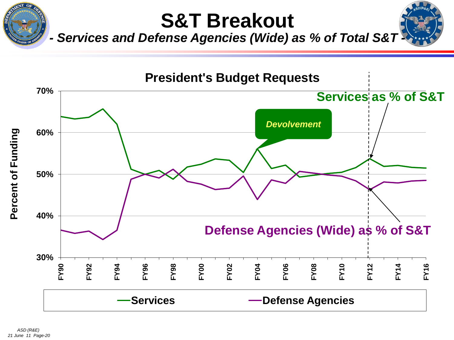

# **S&T Breakout**



**Services and Defense Agencies (Wide) as % of Total S&T** 

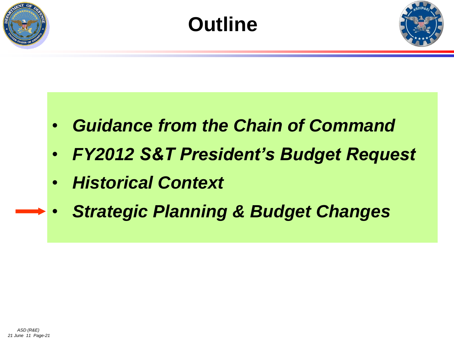





- *Guidance from the Chain of Command*
- *FY2012 S&T President's Budget Request*
- *Historical Context*
- *Strategic Planning & Budget Changes*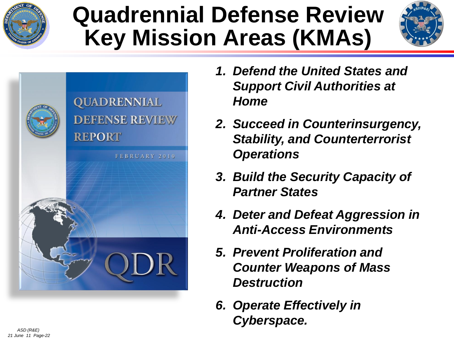

# **Quadrennial Defense Review Key Mission Areas (KMAs)**





- *1. Defend the United States and Support Civil Authorities at Home*
- *2. Succeed in Counterinsurgency, Stability, and Counterterrorist Operations*
- *3. Build the Security Capacity of Partner States*
- *4. Deter and Defeat Aggression in Anti-Access Environments*
- *5. Prevent Proliferation and Counter Weapons of Mass Destruction*
- *6. Operate Effectively in Cyberspace.*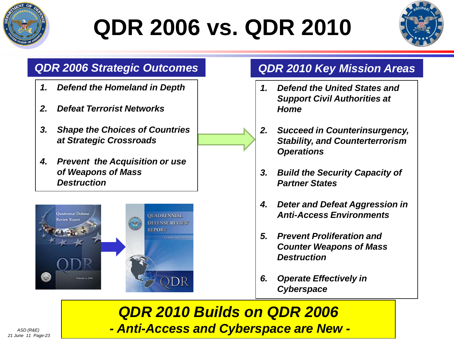

# **QDR 2006 vs. QDR 2010**



### *QDR 2006 Strategic Outcomes QDR 2010 Key Mission Areas*

- *1. Defend the Homeland in Depth*
- *2. Defeat Terrorist Networks*
- *3. Shape the Choices of Countries at Strategic Crossroads*
- *4. Prevent the Acquisition or use of Weapons of Mass Destruction*



- *1. Defend the United States and Support Civil Authorities at Home*
- *2. Succeed in Counterinsurgency, Stability, and Counterterrorism Operations*
- *3. Build the Security Capacity of Partner States*
- *4. Deter and Defeat Aggression in Anti-Access Environments*
- *5. Prevent Proliferation and Counter Weapons of Mass Destruction*
- *6. Operate Effectively in Cyberspace*

*QDR 2010 Builds on QDR 2006 - Anti-Access and Cyberspace are New -*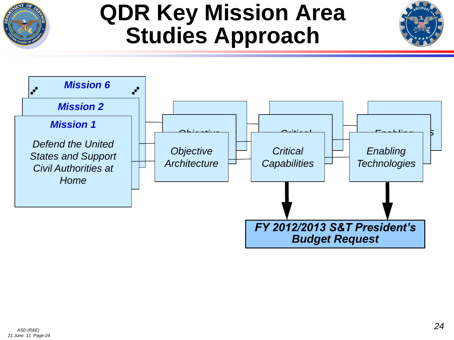

# **QDR Key Mission Area Studies Approach**

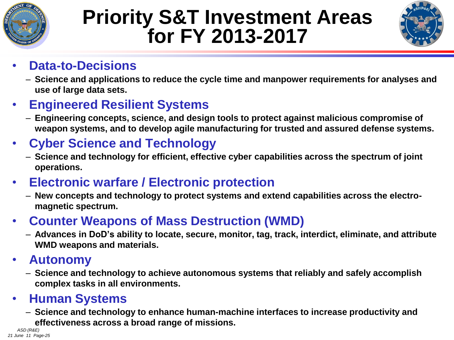

# **Priority S&T Investment Areas for FY 2013-2017**



### • **Data-to-Decisions**

– **Science and applications to reduce the cycle time and manpower requirements for analyses and use of large data sets.**

### • **Engineered Resilient Systems**

– **Engineering concepts, science, and design tools to protect against malicious compromise of weapon systems, and to develop agile manufacturing for trusted and assured defense systems.**

### • **Cyber Science and Technology**

– **Science and technology for efficient, effective cyber capabilities across the spectrum of joint operations.** 

### • **Electronic warfare / Electronic protection**

– **New concepts and technology to protect systems and extend capabilities across the electromagnetic spectrum.** 

### • **Counter Weapons of Mass Destruction (WMD)**

– **Advances in DoD's ability to locate, secure, monitor, tag, track, interdict, eliminate, and attribute WMD weapons and materials.**

### • **Autonomy**

– **Science and technology to achieve autonomous systems that reliably and safely accomplish complex tasks in all environments.**

### • **Human Systems**

– **Science and technology to enhance human-machine interfaces to increase productivity and effectiveness across a broad range of missions.**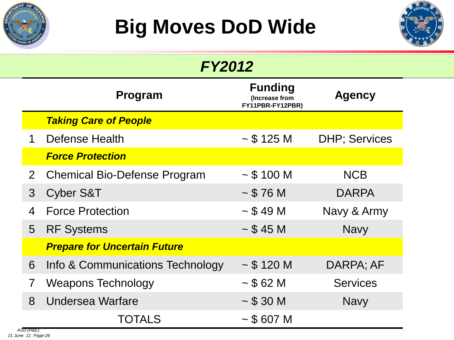



| <b>FY2012</b>             |                                     |                                                      |                       |  |
|---------------------------|-------------------------------------|------------------------------------------------------|-----------------------|--|
| Program                   |                                     | <b>Funding</b><br>(Increase from<br>FY11PBR-FY12PBR) | <b>Agency</b>         |  |
|                           | <b>Taking Care of People</b>        |                                                      |                       |  |
| $\mathbf 1$               | Defense Health                      | $\sim$ \$ 125 M                                      | <b>DHP</b> ; Services |  |
|                           | <b>Force Protection</b>             |                                                      |                       |  |
| $\mathbf{2}^{\mathsf{I}}$ | <b>Chemical Bio-Defense Program</b> | $\sim$ \$ 100 M                                      | <b>NCB</b>            |  |
| 3                         | <b>Cyber S&amp;T</b>                | ~576M                                                | <b>DARPA</b>          |  |
| 4                         | <b>Force Protection</b>             | $\sim$ \$ 49 M                                       | Navy & Army           |  |
| 5                         | <b>RF Systems</b>                   | $\sim$ \$ 45 M                                       | <b>Navy</b>           |  |
|                           | <b>Prepare for Uncertain Future</b> |                                                      |                       |  |
| 6                         | Info & Communications Technology    | $\sim$ \$ 120 M                                      | DARPA; AF             |  |
|                           | Weapons Technology                  | ~562M                                                | <b>Services</b>       |  |
| 8                         | Undersea Warfare                    | $\sim$ \$ 30 M                                       | <b>Navy</b>           |  |
| ASD (R&E)                 | <b>TOTALS</b>                       | $\sim$ \$ 607 M                                      |                       |  |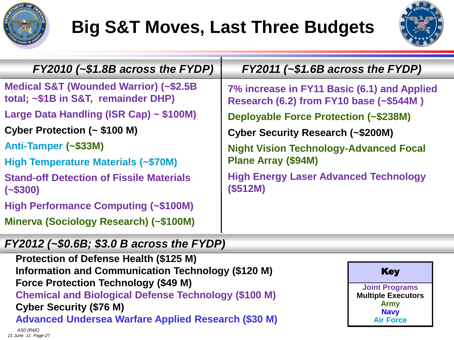

# **Big S&T Moves, Last Three Budgets**



| $FY2010$ (~\$1.8B across the FYDP)                                            | $FY2011$ (~\$1.6B across the FYDP)                                                     |  |  |
|-------------------------------------------------------------------------------|----------------------------------------------------------------------------------------|--|--|
| Medical S&T (Wounded Warrior) (~\$2.5B<br>total; ~\$1B in S&T, remainder DHP) | 7% increase in FY11 Basic (6.1) and Applied<br>Research (6.2) from FY10 base (~\$544M) |  |  |
| Large Data Handling (ISR Cap) ~ \$100M)                                       | <b>Deployable Force Protection (~\$238M)</b>                                           |  |  |
| Cyber Protection (~ \$100 M)                                                  | Cyber Security Research (~\$200M)                                                      |  |  |
| Anti-Tamper (~\$33M)                                                          | <b>Night Vision Technology-Advanced Focal</b><br><b>Plane Array (\$94M)</b>            |  |  |
| High Temperature Materials (~\$70M)                                           |                                                                                        |  |  |
| <b>Stand-off Detection of Fissile Materials</b><br>$(-\$300)$                 | <b>High Energy Laser Advanced Technology</b><br>(\$512M)                               |  |  |
| <b>High Performance Computing (~\$100M)</b>                                   |                                                                                        |  |  |
| Minerva (Sociology Research) (~\$100M)                                        |                                                                                        |  |  |

#### *FY2012 (~\$0.6B; \$3.0 B across the FYDP)*

**Protection of Defense Health (\$125 M) Information and Communication Technology (\$120 M) Force Protection Technology (\$49 M) Chemical and Biological Defense Technology (\$100 M) Cyber Security (\$76 M) Advanced Undersea Warfare Applied Research (\$30 M)**